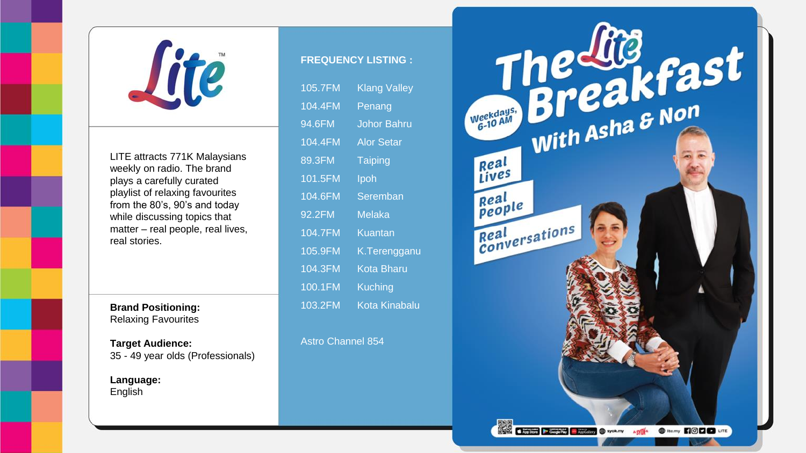

LITE attracts 771K Malaysians weekly on radio. The brand plays a carefully curated playlist of relaxing favourites from the 80's, 90's and today while discussing topics that matter – real people, real lives, real stories.

**Brand Positioning:** Relaxing Favourites

**Target Audience:** 35 - 49 year olds (Professionals)

**Language:** English

## **FREQUENCY LISTING :**

| 105.7FM | <b>Klang Valley</b> |
|---------|---------------------|
| 104.4FM | Penang              |
| 94.6FM  | Johor Bahru         |
| 104.4FM | <b>Alor Setar</b>   |
| 89.3FM  | <b>Taiping</b>      |
| 101.5FM | Ipoh                |
| 104.6FM | Seremban            |
| 92.2FM  | Melaka              |
| 104.7FM | Kuantan             |
| 105.9FM | K.Terengganu        |
| 104.3FM | <u>Ko</u> ta Bharu  |
| 100.1FM | <b>Kuching</b>      |
| 103.2FM | Kota Kinabalu       |

Astro Channel 854

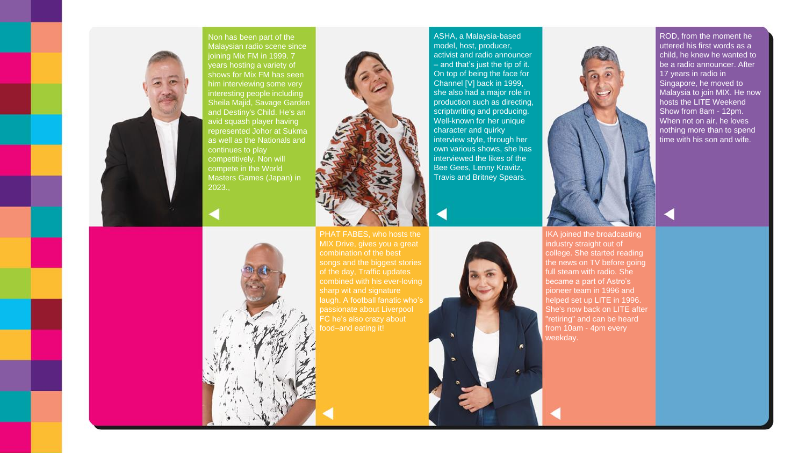

Non has been part of the Malaysian radio scene since joining Mix FM in 1999. 7 years hosting a variety of shows for Mix FM has seen him interviewing some very interesting people including Sheila Majid, Savage Garden and Destiny's Child. He's an avid squash player having represented Johor at Sukma as well as the Nationals and continues to play competitively. Non will compete in the World Masters Games (Japan) in



combination of the best songs and the biggest stories combined with his ever-loving laugh. A football fanatic who's

ASHA, a Malaysia-based model, host, producer, activist and radio announcer – and that's just the tip of it. On top of being the face for Channel [V] back in 1999, she also had a major role in production such as directing, scriptwriting and producing. Well-known for her unique character and quirky interview style, through her own various shows, she has interviewed the likes of the Bee Gees, Lenny Kravitz, Travis and Britney Spears.



ROD, from the moment he uttered his first words as a child, he knew he wanted to be a radio announcer. After 17 years in radio in Singapore, he moved to Malaysia to join MIX. He now hosts the LITE Weekend Show from 8am - 12pm. When not on air, he loves nothing more than to spend time with his son and wife.

IKA joined the broadcasting industry straight out of college. She started reading the news on TV before going full steam with radio. She became a part of Astro's pioneer team in 1996 and helped set up LITE in 1996. She's now back on LITE after "retiring" and can be heard from 10am - 4pm every